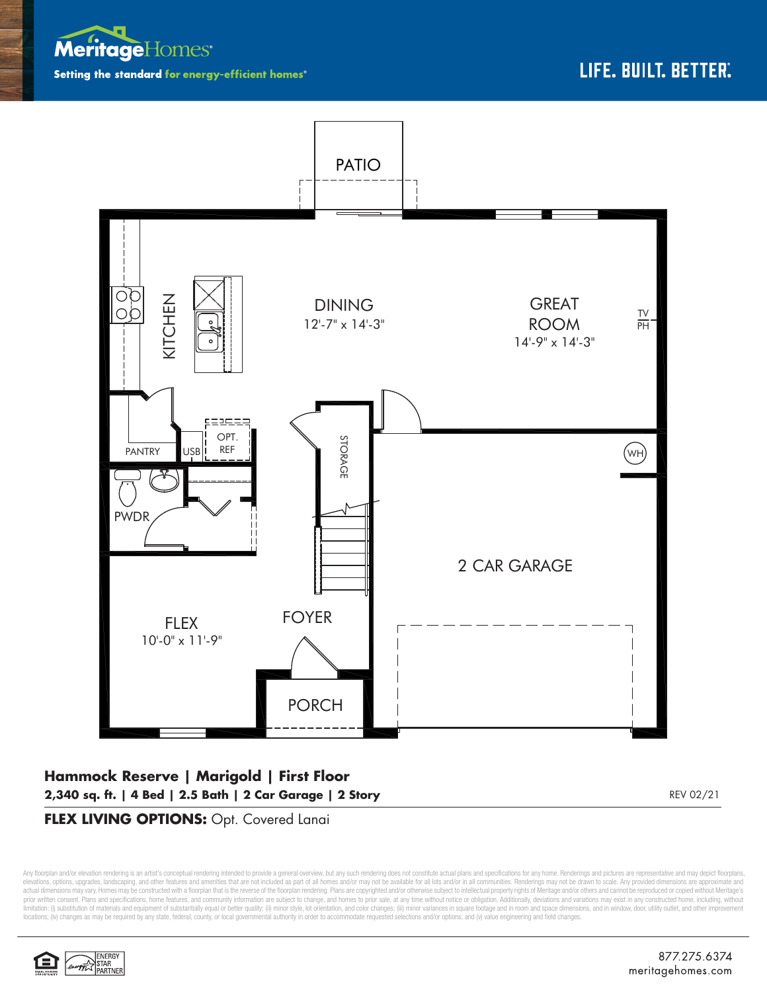



## **Hammock Reserve | Marigold | First Floor 2,340 sq. ft. | 4 Bed | 2.5 Bath | 2 Car Garage | 2 Story** REV 02/21

## **FLEX LIVING OPTIONS:** Opt. Covered Lanai

Any floorplan and/or elevation rendering is an artist's conceptual rendering intended to provide a general overview, but any such rendering does not constitute actual plans and specifications for any home. Renderings and p elevations, options, upgrades, landscaping, and other features and amenities that are not included as part of all homes and/or may not be available for all lots and/or in all communities. Renderings may not be drawn to sca limitation: (i) substitution of materials and equipment of substantially equal or better quality; (ii) minor style, lot orientation, and color changes; (iii) minor variances in square footage and in room and space dimensio locations; (iv) changes as may be required by any state, federal, county, or local governmental authority in order to accommodate requested selections and/or options; and (v) value engineering and field changes.

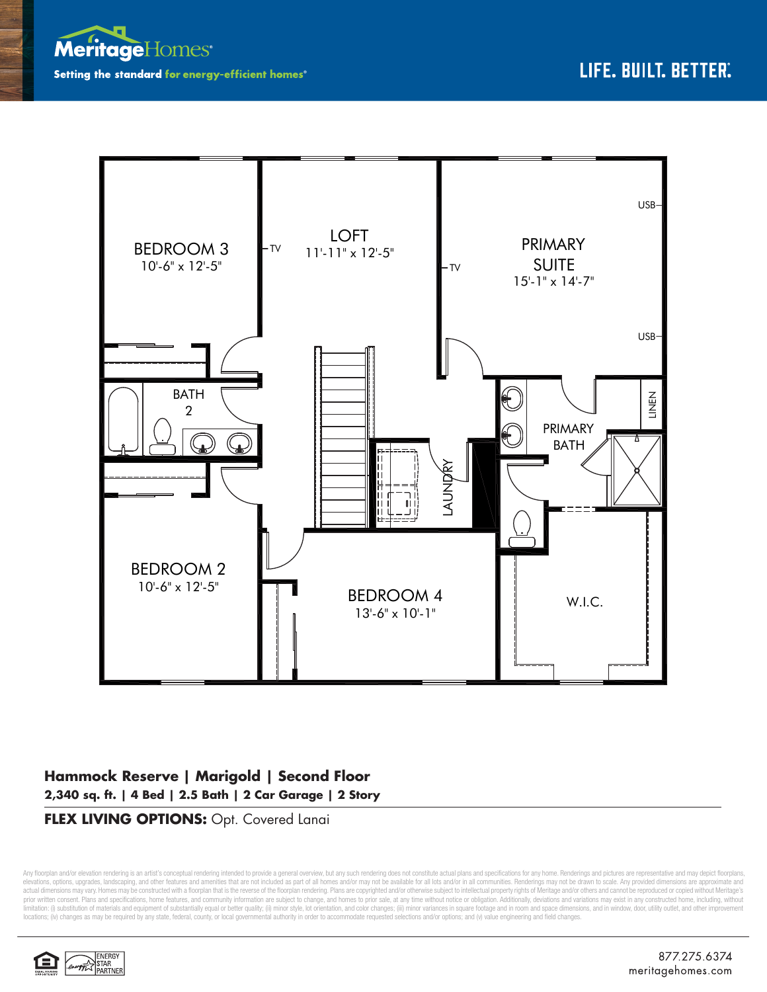



## **Hammock Reserve | Marigold | Second Floor 2,340 sq. ft. | 4 Bed | 2.5 Bath | 2 Car Garage | 2 Story**

**FLEX LIVING OPTIONS:** Opt. Covered Lanai

Any floorplan and/or elevation rendering is an artist's conceptual rendering intended to provide a general overview, but any such rendering does not constitute actual plans and specifications for any home. Renderings and p elevations, options, upgrades, landscaping, and other features and amenities that are not included as part of all homes and/or may not be available for all lots and/or in all communities. Renderings may not be drawn to sca limitation: (i) substitution of materials and equipment of substantially equal or better quality; (ii) minor style, lot orientation, and color changes; (iii) minor variances in square footage and in room and space dimensio locations; (iv) changes as may be required by any state, federal, county, or local governmental authority in order to accommodate requested selections and/or options; and (v) value engineering and field changes.